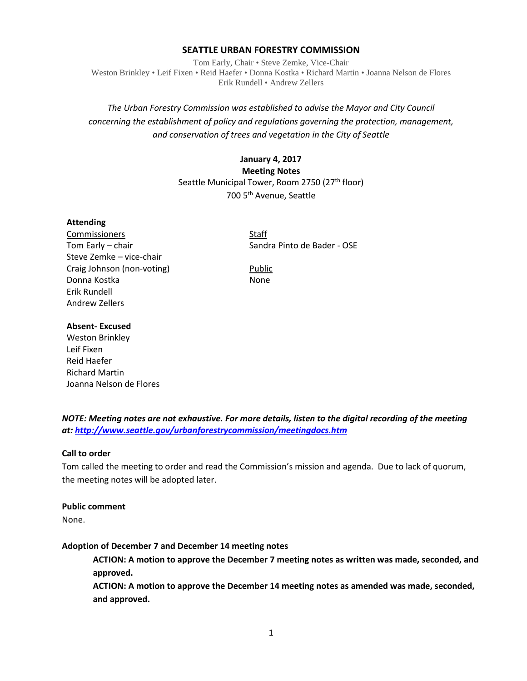### **SEATTLE URBAN FORESTRY COMMISSION**

Tom Early, Chair • Steve Zemke, Vice-Chair Weston Brinkley • Leif Fixen • Reid Haefer • Donna Kostka • Richard Martin • Joanna Nelson de Flores Erik Rundell • Andrew Zellers

# *The Urban Forestry Commission was established to advise the Mayor and City Council concerning the establishment of policy and regulations governing the protection, management, and conservation of trees and vegetation in the City of Seattle*

# **January 4, 2017 Meeting Notes** Seattle Municipal Tower, Room 2750 (27<sup>th</sup> floor) 700 5th Avenue, Seattle

### **Attending**

Commissioners Staff Steve Zemke – vice-chair Craig Johnson (non-voting) Public Donna Kostka None Erik Rundell Andrew Zellers

Tom Early – chair Sandra Pinto de Bader - OSE

### **Absent- Excused**

Weston Brinkley Leif Fixen Reid Haefer Richard Martin Joanna Nelson de Flores

*NOTE: Meeting notes are not exhaustive. For more details, listen to the digital recording of the meeting at:<http://www.seattle.gov/urbanforestrycommission/meetingdocs.htm>*

## **Call to order**

Tom called the meeting to order and read the Commission's mission and agenda. Due to lack of quorum, the meeting notes will be adopted later.

#### **Public comment**

None.

## **Adoption of December 7 and December 14 meeting notes**

**ACTION: A motion to approve the December 7 meeting notes as written was made, seconded, and approved.**

**ACTION: A motion to approve the December 14 meeting notes as amended was made, seconded, and approved.**